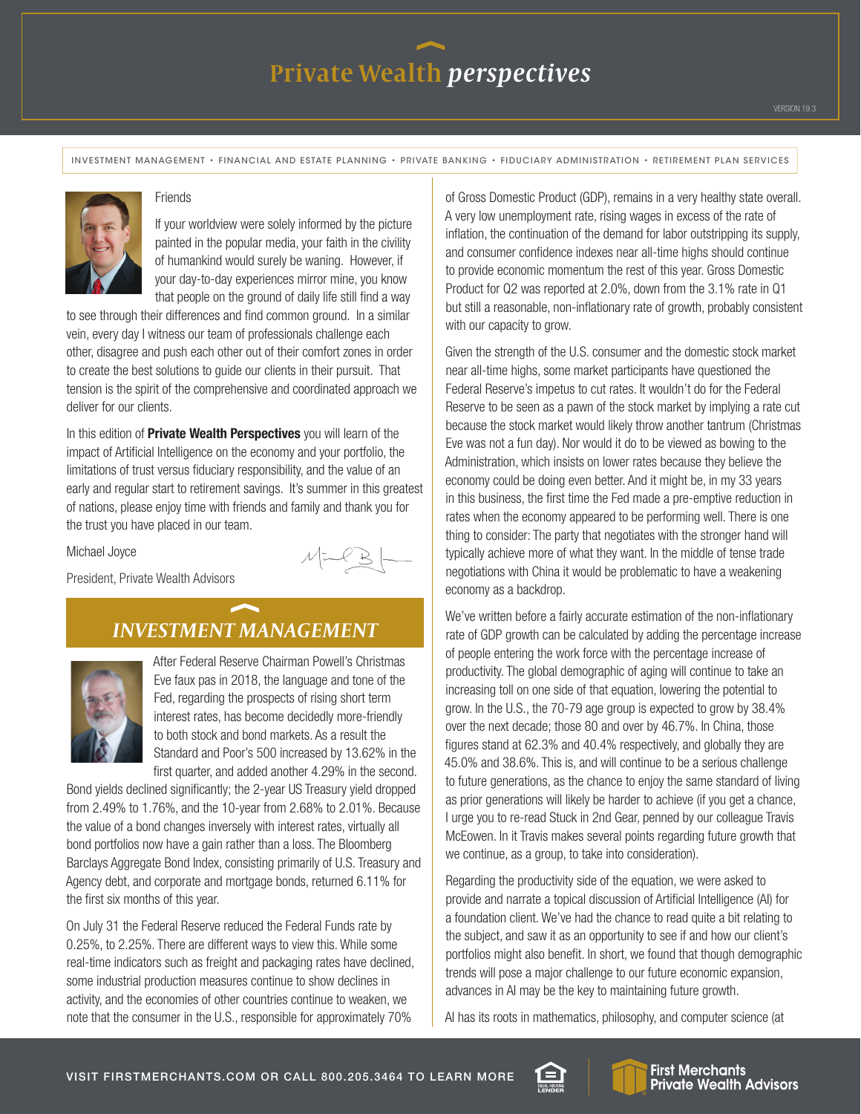# Private Wealth *perspectives*

INVESTMENT MANAGEMENT • FINANCIAL AND ESTATE PLANNING • PRIVATE BANKING • FIDUCIARY ADMINISTRATION • RETIREMENT PLAN SERVICES



#### **Friends**

If your worldview were solely informed by the picture painted in the popular media, your faith in the civility of humankind would surely be waning. However, if your day-to-day experiences mirror mine, you know that people on the ground of daily life still find a way

to see through their differences and find common ground. In a similar vein, every day I witness our team of professionals challenge each other, disagree and push each other out of their comfort zones in order to create the best solutions to guide our clients in their pursuit. That tension is the spirit of the comprehensive and coordinated approach we deliver for our clients.

In this edition of **Private Wealth Perspectives** you will learn of the impact of Artificial Intelligence on the economy and your portfolio, the limitations of trust versus fiduciary responsibility, and the value of an early and regular start to retirement savings. It's summer in this greatest of nations, please enjoy time with friends and family and thank you for the trust you have placed in our team.

Michael Joyce

 $M = 8$ 

President, Private Wealth Advisors

### *INVESTMENT MANAGEMENT*



After Federal Reserve Chairman Powell's Christmas Eve faux pas in 2018, the language and tone of the Fed, regarding the prospects of rising short term interest rates, has become decidedly more-friendly to both stock and bond markets. As a result the Standard and Poor's 500 increased by 13.62% in the first quarter, and added another 4.29% in the second.

Bond yields declined significantly; the 2-year US Treasury yield dropped from 2.49% to 1.76%, and the 10-year from 2.68% to 2.01%. Because the value of a bond changes inversely with interest rates, virtually all bond portfolios now have a gain rather than a loss. The Bloomberg Barclays Aggregate Bond Index, consisting primarily of U.S. Treasury and Agency debt, and corporate and mortgage bonds, returned 6.11% for the first six months of this year.

On July 31 the Federal Reserve reduced the Federal Funds rate by 0.25%, to 2.25%. There are different ways to view this. While some real-time indicators such as freight and packaging rates have declined, some industrial production measures continue to show declines in activity, and the economies of other countries continue to weaken, we note that the consumer in the U.S., responsible for approximately 70%

of Gross Domestic Product (GDP), remains in a very healthy state overall. A very low unemployment rate, rising wages in excess of the rate of inflation, the continuation of the demand for labor outstripping its supply, and consumer confidence indexes near all-time highs should continue to provide economic momentum the rest of this year. Gross Domestic Product for Q2 was reported at 2.0%, down from the 3.1% rate in Q1 but still a reasonable, non-inflationary rate of growth, probably consistent with our capacity to grow.

Given the strength of the U.S. consumer and the domestic stock market near all-time highs, some market participants have questioned the Federal Reserve's impetus to cut rates. It wouldn't do for the Federal Reserve to be seen as a pawn of the stock market by implying a rate cut because the stock market would likely throw another tantrum (Christmas Eve was not a fun day). Nor would it do to be viewed as bowing to the Administration, which insists on lower rates because they believe the economy could be doing even better. And it might be, in my 33 years in this business, the first time the Fed made a pre-emptive reduction in rates when the economy appeared to be performing well. There is one thing to consider: The party that negotiates with the stronger hand will typically achieve more of what they want. In the middle of tense trade negotiations with China it would be problematic to have a weakening economy as a backdrop.

We've written before a fairly accurate estimation of the non-inflationary rate of GDP growth can be calculated by adding the percentage increase of people entering the work force with the percentage increase of productivity. The global demographic of aging will continue to take an increasing toll on one side of that equation, lowering the potential to grow. In the U.S., the 70-79 age group is expected to grow by 38.4% over the next decade; those 80 and over by 46.7%. In China, those figures stand at 62.3% and 40.4% respectively, and globally they are 45.0% and 38.6%. This is, and will continue to be a serious challenge to future generations, as the chance to enjoy the same standard of living as prior generations will likely be harder to achieve (if you get a chance, I urge you to re-read Stuck in 2nd Gear, penned by our colleague Travis McEowen. In it Travis makes several points regarding future growth that we continue, as a group, to take into consideration).

Regarding the productivity side of the equation, we were asked to provide and narrate a topical discussion of Artificial Intelligence (AI) for a foundation client. We've had the chance to read quite a bit relating to the subject, and saw it as an opportunity to see if and how our client's portfolios might also benefit. In short, we found that though demographic trends will pose a major challenge to our future economic expansion, advances in AI may be the key to maintaining future growth.

AI has its roots in mathematics, philosophy, and computer science (at

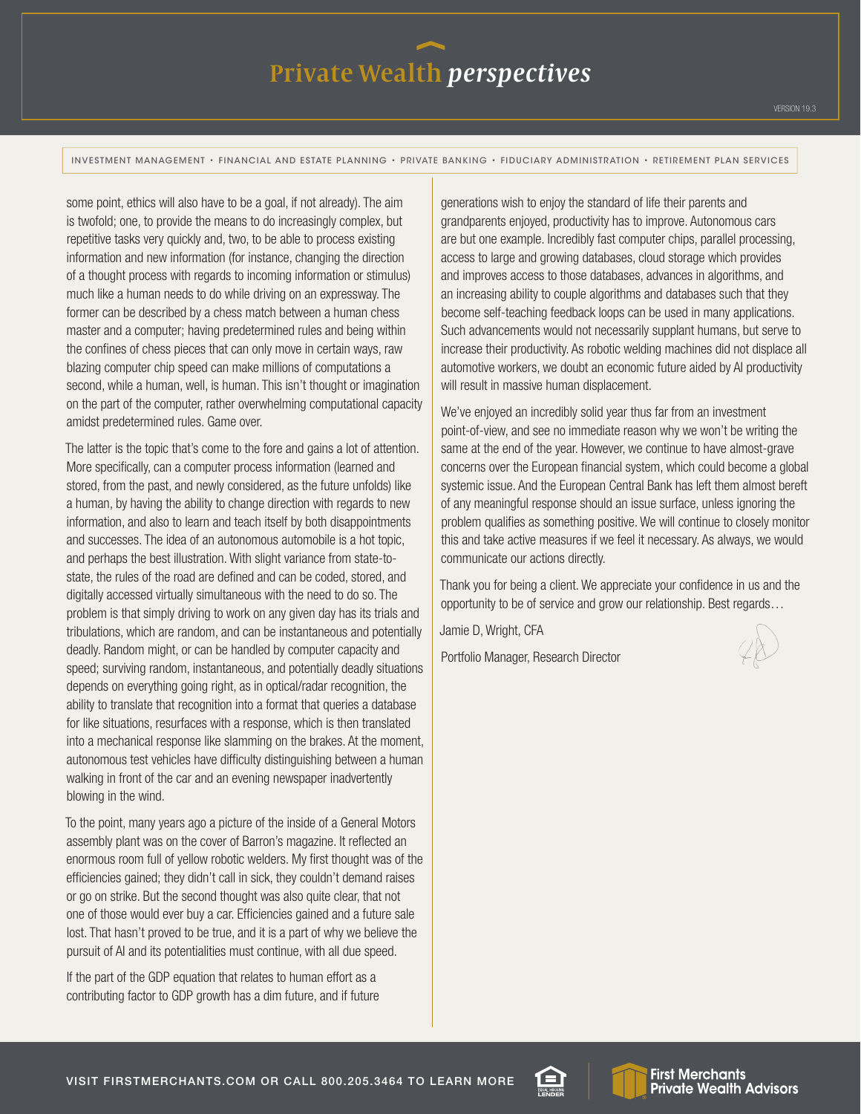# Private Wealth *perspectives*

INVESTMENT MANAGEMENT • FINANCIAL AND ESTATE PLANNING • PRIVATE BANKING • FIDUCIARY ADMINISTRATION • RETIREMENT PLAN SERVICES

some point, ethics will also have to be a goal, if not already). The aim is twofold; one, to provide the means to do increasingly complex, but repetitive tasks very quickly and, two, to be able to process existing information and new information (for instance, changing the direction of a thought process with regards to incoming information or stimulus) much like a human needs to do while driving on an expressway. The former can be described by a chess match between a human chess master and a computer; having predetermined rules and being within the confines of chess pieces that can only move in certain ways, raw blazing computer chip speed can make millions of computations a second, while a human, well, is human. This isn't thought or imagination on the part of the computer, rather overwhelming computational capacity amidst predetermined rules. Game over.

The latter is the topic that's come to the fore and gains a lot of attention. More specifically, can a computer process information (learned and stored, from the past, and newly considered, as the future unfolds) like a human, by having the ability to change direction with regards to new information, and also to learn and teach itself by both disappointments and successes. The idea of an autonomous automobile is a hot topic, and perhaps the best illustration. With slight variance from state-tostate, the rules of the road are defined and can be coded, stored, and digitally accessed virtually simultaneous with the need to do so. The problem is that simply driving to work on any given day has its trials and tribulations, which are random, and can be instantaneous and potentially deadly. Random might, or can be handled by computer capacity and speed; surviving random, instantaneous, and potentially deadly situations depends on everything going right, as in optical/radar recognition, the ability to translate that recognition into a format that queries a database for like situations, resurfaces with a response, which is then translated into a mechanical response like slamming on the brakes. At the moment, autonomous test vehicles have difficulty distinguishing between a human walking in front of the car and an evening newspaper inadvertently blowing in the wind.

To the point, many years ago a picture of the inside of a General Motors assembly plant was on the cover of Barron's magazine. It reflected an enormous room full of yellow robotic welders. My first thought was of the efficiencies gained; they didn't call in sick, they couldn't demand raises or go on strike. But the second thought was also quite clear, that not one of those would ever buy a car. Efficiencies gained and a future sale lost. That hasn't proved to be true, and it is a part of why we believe the pursuit of AI and its potentialities must continue, with all due speed.

If the part of the GDP equation that relates to human effort as a contributing factor to GDP growth has a dim future, and if future

generations wish to enjoy the standard of life their parents and grandparents enjoyed, productivity has to improve. Autonomous cars are but one example. Incredibly fast computer chips, parallel processing, access to large and growing databases, cloud storage which provides and improves access to those databases, advances in algorithms, and an increasing ability to couple algorithms and databases such that they become self-teaching feedback loops can be used in many applications. Such advancements would not necessarily supplant humans, but serve to increase their productivity. As robotic welding machines did not displace all automotive workers, we doubt an economic future aided by AI productivity will result in massive human displacement.

We've enjoyed an incredibly solid year thus far from an investment point-of-view, and see no immediate reason why we won't be writing the same at the end of the year. However, we continue to have almost-grave concerns over the European financial system, which could become a global systemic issue. And the European Central Bank has left them almost bereft of any meaningful response should an issue surface, unless ignoring the problem qualifies as something positive. We will continue to closely monitor this and take active measures if we feel it necessary. As always, we would communicate our actions directly.

Thank you for being a client. We appreciate your confidence in us and the opportunity to be of service and grow our relationship. Best regards…

Jamie D, Wright, CFA

Portfolio Manager, Research Director